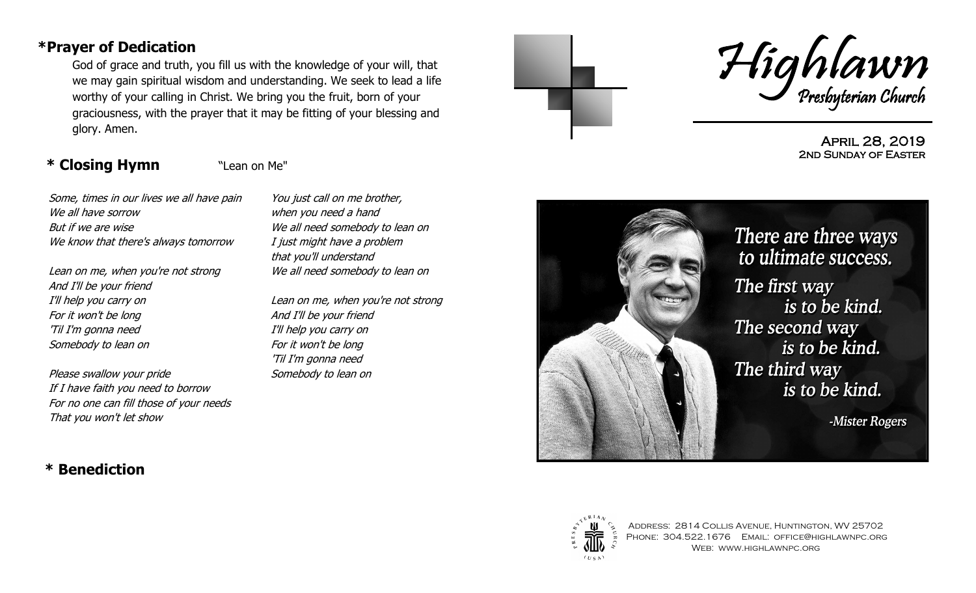#### **\*Prayer of Dedication**

God of grace and truth, you fill us with the knowledge of your will, that we may gain spiritual wisdom and understanding. We seek to lead a life worthy of your calling in Christ. We bring you the fruit, born of your graciousness, with the prayer that it may be fitting of your blessing and glory. Amen.

## **\* Closing Hymn** "Lean on Me"

Some, times in our lives we all have pain We all have sorrow But if we are wise We know that there's always tomorrow

Lean on me, when you're not strong And I'll be your friend I'll help you carry on For it won't be long 'Til I'm gonna need Somebody to lean on

Please swallow your pride If I have faith you need to borrow For no one can fill those of your needs That you won't let show

**\* Benediction**

You just call on me brother, when you need a hand We all need somebody to lean on I just might have a problem that you'll understand We all need somebody to lean on

Lean on me, when you're not strong And I'll be your friend I'll help you carry on For it won't be long 'Til I'm gonna need Somebody to lean on





April 28, 2019 2nd Sunday of Easter





Address: 2814 Collis Avenue, Huntington, WV 25702 PHONE: 304.522.1676 EMAIL: OFFICE@HIGHLAWNPC.ORG Web: www.highlawnpc.org